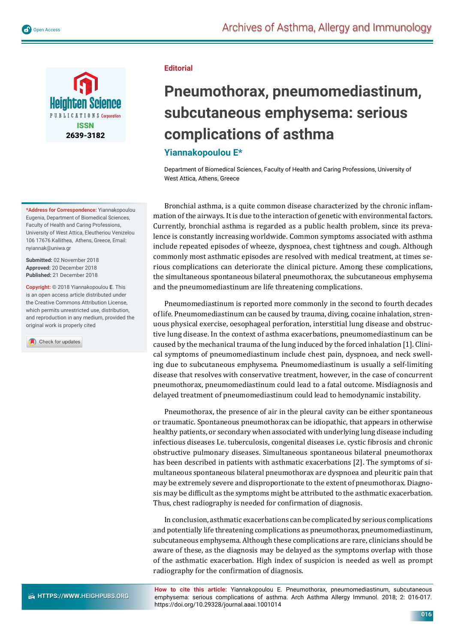



**\*Address for Correspondence:** Yiannakopoulou Eugenia, Department of Biomedical Sciences, Faculty of Health and Caring Professions, University of West Attica, Eleutheriou Venizelou 106 17676 Kallithea, Athens, Greece, Email: nyiannak@uniwa.gr

**Submitted:** 02 November 2018 **Approved:** 20 December 2018 **Published:** 21 December 2018

**Copyright:** © 2018 Yiannakopoulou E. This is an open access article distributed under the Creative Commons Attribution License, which permits unrestricted use, distribution, and reproduction in any medium, provided the original work is properly cited

Check for updates

## **Editorial**

## **Pneumothorax, pneumomediastinum, subcutaneous emphysema: serious complications of asthma**

## **Yiannakopoulou E\***

Department of Biomedical Sciences, Faculty of Health and Caring Professions, University of West Attica, Athens, Greece

Bronchial asthma, is a quite common disease characterized by the chronic inflammation of the airways. It is due to the interaction of genetic with environmental factors. Currently, bronchial asthma is regarded as a public health problem, since its prevalence is constantly increasing worldwide. Common symptoms associated with asthma include repeated episodes of wheeze, dyspnoea, chest tightness and cough. Although commonly most asthmatic episodes are resolved with medical treatment, at times serious complications can deteriorate the clinical picture. Among these complications, the simultaneous spontaneous bilateral pneumothorax, the subcutaneous emphysema and the pneumomediastinum are life threatening complications.

Pneumomediastinum is reported more commonly in the second to fourth decades of life. Pneumomediastinum can be caused by trauma, diving, cocaine inhalation, strenuous physical exercise, oesophageal perforation, interstitial lung disease and obstructive lung disease. In the context of asthma exacerbations, pneumomediastinum can be caused by the mechanical trauma of the lung induced by the forced inhalation [1]. Clinical symptoms of pneumomediastinum include chest pain, dyspnoea, and neck swelling due to subcutaneous emphysema. Pneumomediastinum is usually a self-limiting disease that resolves with conservative treatment, however, in the case of concurrent pneumothorax, pneumomediastinum could lead to a fatal outcome. Misdiagnosis and delayed treatment of pneumomediastinum could lead to hemodynamic instability.

Pneumothorax, the presence of air in the pleural cavity can be either spontaneous or traumatic. Spontaneous pneumothorax can be idiopathic, that appears in otherwise healthy patients, or secondary when associated with underlying lung disease including infectious diseases I.e. tuberculosis, congenital diseases i.e. cystic fibrosis and chronic obstructive pulmonary diseases. Simultaneous spontaneous bilateral pneumothorax has been described in patients with asthmatic exacerbations [2]. The symptoms of simultaneous spontaneous bilateral pneumothorax are dyspnoea and pleuritic pain that may be extremely severe and disproportionate to the extent of pneumothorax. Diagnosis may be difficult as the symptoms might be attributed to the asthmatic exacerbation. Thus, chest radiography is needed for confirmation of diagnosis.

In conclusion, asthmatic exacerbations can be complicated by serious complications and potentially life threatening complications as pneumothorax, pneumomediastinum, subcutaneous emphysema. Although these complications are rare, clinicians should be aware of these, as the diagnosis may be delayed as the symptoms overlap with those of the asthmatic exacerbation. High index of suspicion is needed as well as prompt radiography for the confirmation of diagnosis.

**HTTPS://WWW.HEIGHPUBS.ORG** 

**How to cite this article:** Yiannakopoulou E. Pneumothorax, pneumomediastinum, subcutaneous emphysema: serious complications of asthma. Arch Asthma Allergy Immunol. 2018; 2: 016-017. https://doi.org/10.29328/journal.aaai.1001014